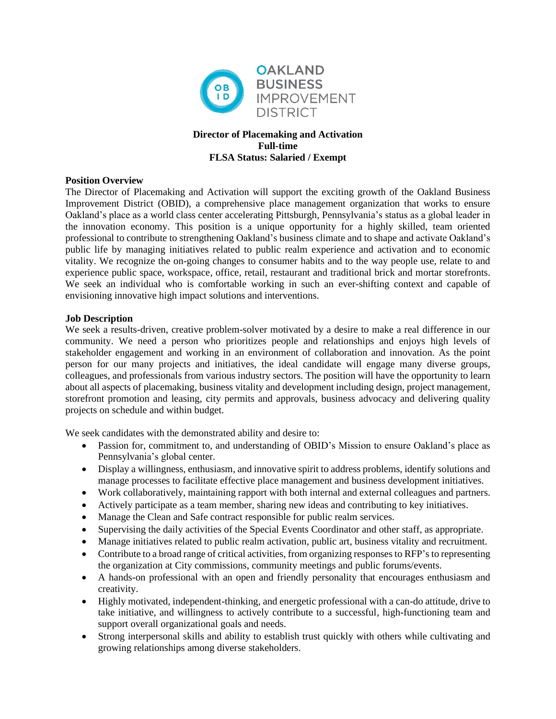

# **Director of Placemaking and Activation Full-time FLSA Status: Salaried / Exempt**

# **Position Overview**

The Director of Placemaking and Activation will support the exciting growth of the Oakland Business Improvement District (OBID), a comprehensive place management organization that works to ensure Oakland's place as a world class center accelerating Pittsburgh, Pennsylvania's status as a global leader in the innovation economy. This position is a unique opportunity for a highly skilled, team oriented professional to contribute to strengthening Oakland's business climate and to shape and activate Oakland's public life by managing initiatives related to public realm experience and activation and to economic vitality. We recognize the on-going changes to consumer habits and to the way people use, relate to and experience public space, workspace, office, retail, restaurant and traditional brick and mortar storefronts. We seek an individual who is comfortable working in such an ever-shifting context and capable of envisioning innovative high impact solutions and interventions.

### **Job Description**

We seek a results-driven, creative problem-solver motivated by a desire to make a real difference in our community. We need a person who prioritizes people and relationships and enjoys high levels of stakeholder engagement and working in an environment of collaboration and innovation. As the point person for our many projects and initiatives, the ideal candidate will engage many diverse groups, colleagues, and professionals from various industry sectors. The position will have the opportunity to learn about all aspects of placemaking, business vitality and development including design, project management, storefront promotion and leasing, city permits and approvals, business advocacy and delivering quality projects on schedule and within budget.

We seek candidates with the demonstrated ability and desire to:

- Passion for, commitment to, and understanding of OBID's Mission to ensure Oakland's place as Pennsylvania's global center.
- Display a willingness, enthusiasm, and innovative spirit to address problems, identify solutions and manage processes to facilitate effective place management and business development initiatives.
- Work collaboratively, maintaining rapport with both internal and external colleagues and partners.
- Actively participate as a team member, sharing new ideas and contributing to key initiatives.
- Manage the Clean and Safe contract responsible for public realm services.
- Supervising the daily activities of the Special Events Coordinator and other staff, as appropriate.
- Manage initiatives related to public realm activation, public art, business vitality and recruitment.
- Contribute to a broad range of critical activities, from organizing responses to RFP's to representing the organization at City commissions, community meetings and public forums/events.
- A hands-on professional with an open and friendly personality that encourages enthusiasm and creativity.
- Highly motivated, independent-thinking, and energetic professional with a can-do attitude, drive to take initiative, and willingness to actively contribute to a successful, high-functioning team and support overall organizational goals and needs.
- Strong interpersonal skills and ability to establish trust quickly with others while cultivating and growing relationships among diverse stakeholders.